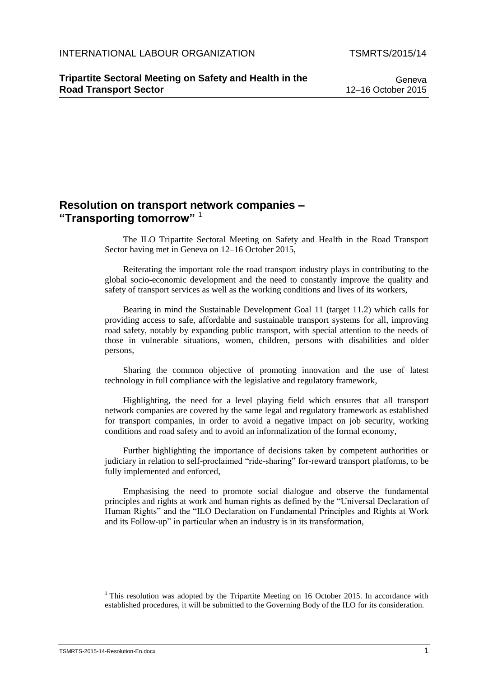## **Resolution on transport network companies – "Transporting tomorrow"** <sup>1</sup>

The ILO Tripartite Sectoral Meeting on Safety and Health in the Road Transport Sector having met in Geneva on 12–16 October 2015,

Reiterating the important role the road transport industry plays in contributing to the global socio-economic development and the need to constantly improve the quality and safety of transport services as well as the working conditions and lives of its workers,

Bearing in mind the Sustainable Development Goal 11 (target 11.2) which calls for providing access to safe, affordable and sustainable transport systems for all, improving road safety, notably by expanding public transport, with special attention to the needs of those in vulnerable situations, women, children, persons with disabilities and older persons,

Sharing the common objective of promoting innovation and the use of latest technology in full compliance with the legislative and regulatory framework,

Highlighting, the need for a level playing field which ensures that all transport network companies are covered by the same legal and regulatory framework as established for transport companies, in order to avoid a negative impact on job security, working conditions and road safety and to avoid an informalization of the formal economy,

Further highlighting the importance of decisions taken by competent authorities or judiciary in relation to self-proclaimed "ride-sharing" for-reward transport platforms, to be fully implemented and enforced,

Emphasising the need to promote social dialogue and observe the fundamental principles and rights at work and human rights as defined by the "Universal Declaration of Human Rights" and the "ILO Declaration on Fundamental Principles and Rights at Work and its Follow-up" in particular when an industry is in its transformation,

<sup>1</sup> This resolution was adopted by the Tripartite Meeting on 16 October 2015. In accordance with established procedures, it will be submitted to the Governing Body of the ILO for its consideration.